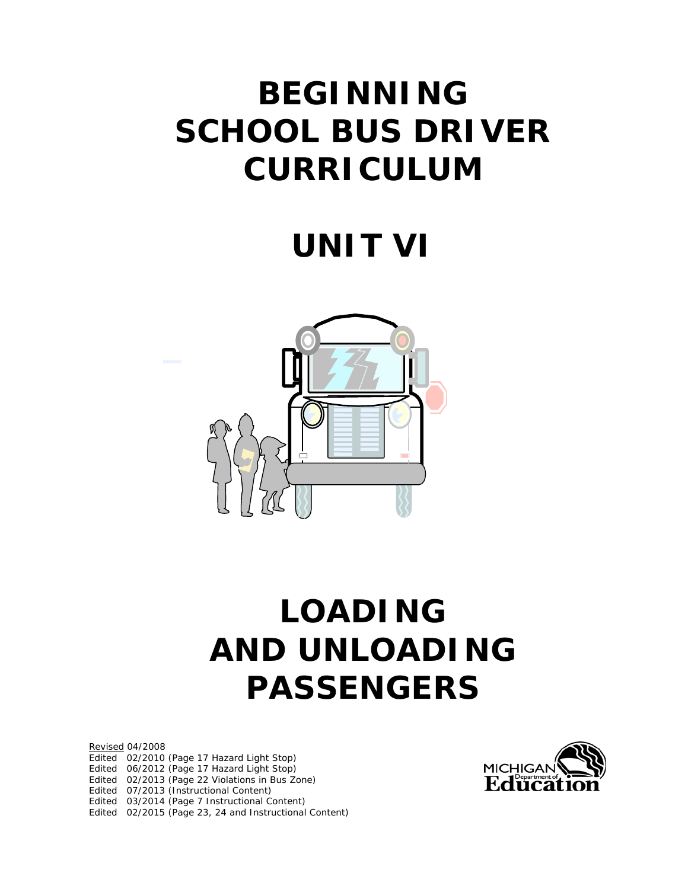# **BEGINNING SCHOOL BUS DRIVER CURRICULUM**

# **UNIT VI**



# **LOADING AND UNLOADING PASSENGERS**

Revised 04/2008 Edited 02/2010 (Page 17 Hazard Light Stop) Edited 06/2012 (Page 17 Hazard Light Stop) Edited 02/2013 (Page 22 Violations in Bus Zone) Edited 07/2013 (Instructional Content) Edited 03/2014 (Page 7 Instructional Content) Edited 02/2015 (Page 23, 24 and Instructional Content)

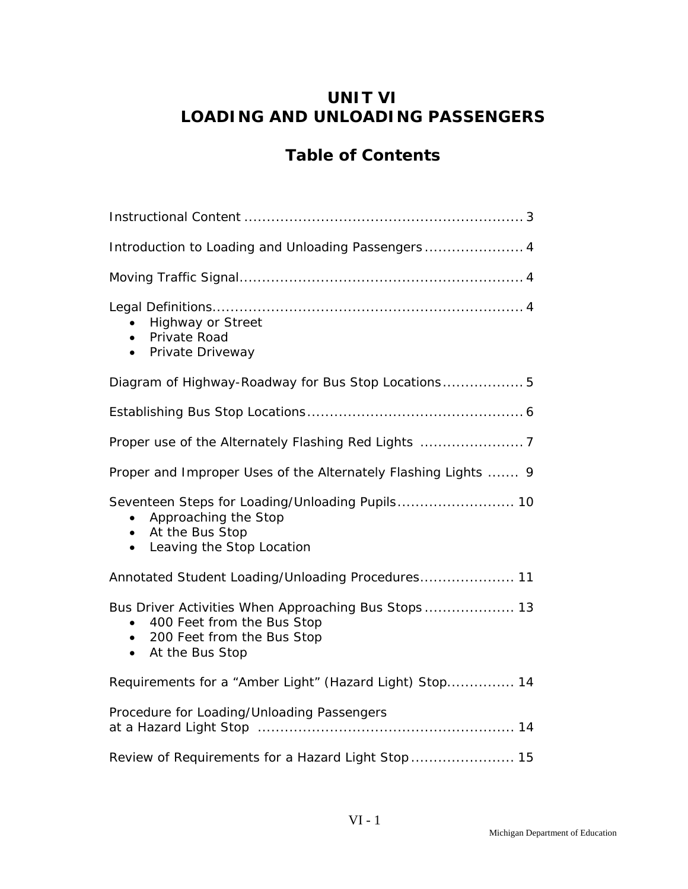## **UNIT VI LOADING AND UNLOADING PASSENGERS**

## **Table of Contents**

| Introduction to Loading and Unloading Passengers 4                                                                                                                        |
|---------------------------------------------------------------------------------------------------------------------------------------------------------------------------|
|                                                                                                                                                                           |
| <b>Highway or Street</b><br>Private Road<br>$\bullet$<br>Private Driveway<br>$\bullet$                                                                                    |
| Diagram of Highway-Roadway for Bus Stop Locations 5                                                                                                                       |
|                                                                                                                                                                           |
|                                                                                                                                                                           |
| Proper and Improper Uses of the Alternately Flashing Lights  9                                                                                                            |
| Seventeen Steps for Loading/Unloading Pupils 10<br>Approaching the Stop<br>$\bullet$<br>• At the Bus Stop<br>Leaving the Stop Location<br>$\bullet$                       |
| Annotated Student Loading/Unloading Procedures 11                                                                                                                         |
| Bus Driver Activities When Approaching Bus Stops 13<br>400 Feet from the Bus Stop<br>$\bullet$<br>200 Feet from the Bus Stop<br>$\bullet$<br>At the Bus Stop<br>$\bullet$ |
| Requirements for a "Amber Light" (Hazard Light) Stop 14                                                                                                                   |
| Procedure for Loading/Unloading Passengers                                                                                                                                |
|                                                                                                                                                                           |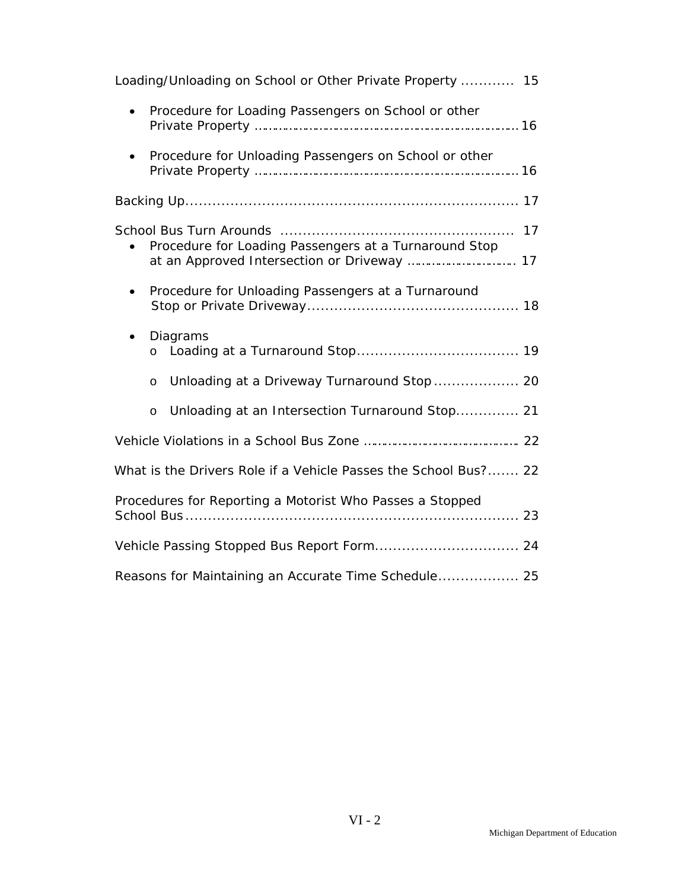| Loading/Unloading on School or Other Private Property  15       |
|-----------------------------------------------------------------|
| Procedure for Loading Passengers on School or other             |
| Procedure for Unloading Passengers on School or other           |
|                                                                 |
| Procedure for Loading Passengers at a Turnaround Stop           |
| Procedure for Unloading Passengers at a Turnaround              |
| Diagrams<br>$\bullet$<br>$\circ$                                |
| Unloading at a Driveway Turnaround Stop  20<br>$\circ$          |
| Unloading at an Intersection Turnaround Stop 21<br>$\circ$      |
|                                                                 |
| What is the Drivers Role if a Vehicle Passes the School Bus? 22 |
| Procedures for Reporting a Motorist Who Passes a Stopped        |
| Vehicle Passing Stopped Bus Report Form 24                      |
| Reasons for Maintaining an Accurate Time Schedule 25            |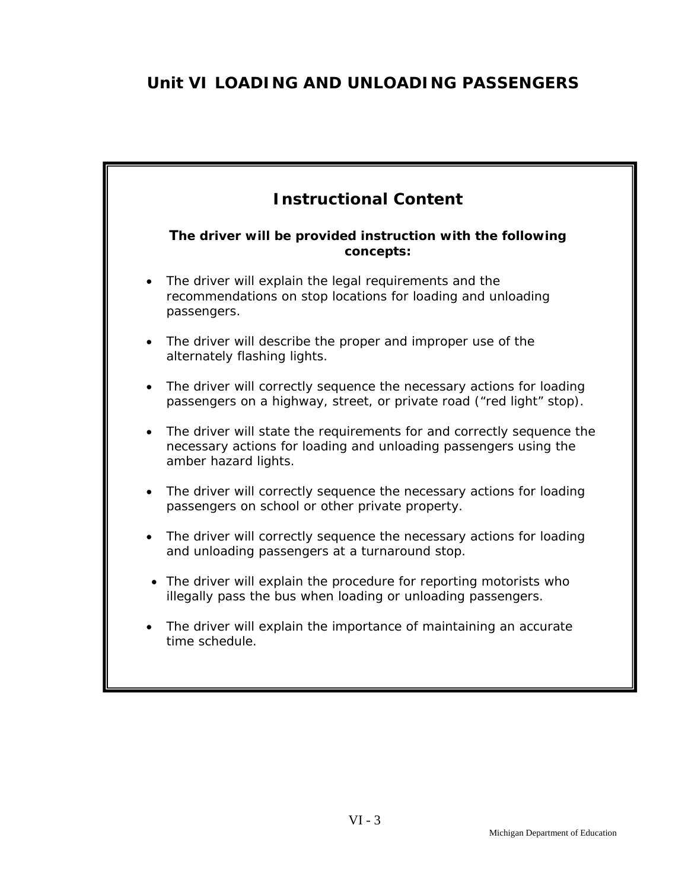# **Unit VI LOADING AND UNLOADING PASSENGERS**

| <b>Instructional Content</b>                                                                                                                                                   |  |  |  |
|--------------------------------------------------------------------------------------------------------------------------------------------------------------------------------|--|--|--|
| The driver will be provided instruction with the following<br>concepts:                                                                                                        |  |  |  |
| The driver will explain the legal requirements and the<br>recommendations on stop locations for loading and unloading<br>passengers.                                           |  |  |  |
| The driver will describe the proper and improper use of the<br>alternately flashing lights.                                                                                    |  |  |  |
| The driver will correctly sequence the necessary actions for loading<br>$\bullet$<br>passengers on a highway, street, or private road ("red light" stop).                      |  |  |  |
| The driver will state the requirements for and correctly sequence the<br>$\bullet$<br>necessary actions for loading and unloading passengers using the<br>amber hazard lights. |  |  |  |
| The driver will correctly sequence the necessary actions for loading<br>passengers on school or other private property.                                                        |  |  |  |
| The driver will correctly sequence the necessary actions for loading<br>$\bullet$<br>and unloading passengers at a turnaround stop.                                            |  |  |  |
| The driver will explain the procedure for reporting motorists who<br>$\bullet$<br>illegally pass the bus when loading or unloading passengers.                                 |  |  |  |
| The driver will explain the importance of maintaining an accurate<br>time schedule.                                                                                            |  |  |  |
|                                                                                                                                                                                |  |  |  |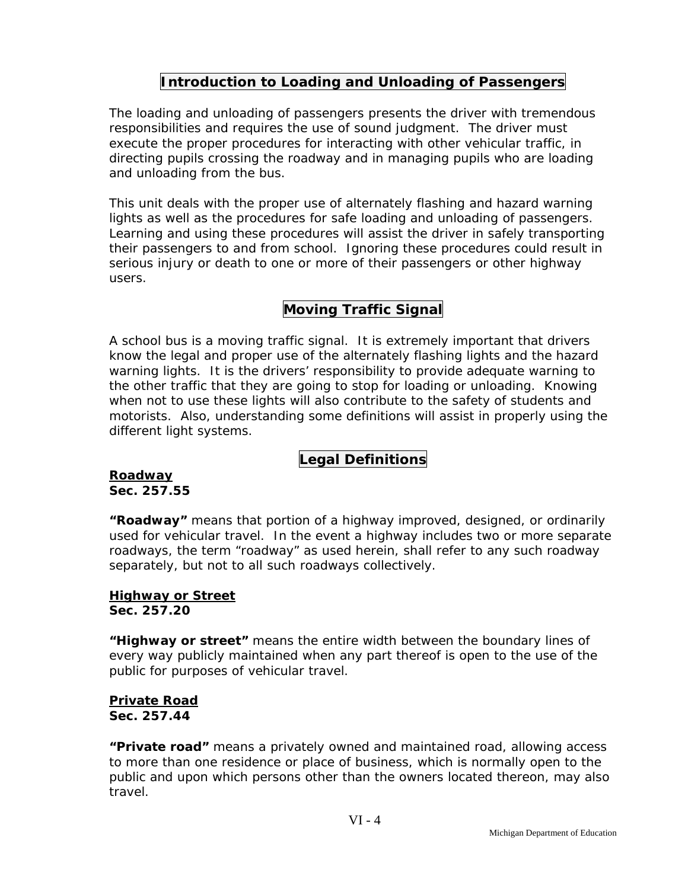## **Introduction to Loading and Unloading of Passengers**

The loading and unloading of passengers presents the driver with tremendous responsibilities and requires the use of sound judgment. The driver must execute the proper procedures for interacting with other vehicular traffic, in directing pupils crossing the roadway and in managing pupils who are loading and unloading from the bus.

This unit deals with the proper use of alternately flashing and hazard warning lights as well as the procedures for safe loading and unloading of passengers. Learning and using these procedures will assist the driver in safely transporting their passengers to and from school. Ignoring these procedures could result in serious injury or death to one or more of their passengers or other highway users.

## **Moving Traffic Signal**

A school bus is a moving traffic signal. It is extremely important that drivers know the legal and proper use of the alternately flashing lights and the hazard warning lights. It is the drivers' responsibility to provide adequate warning to the other traffic that they are going to stop for loading or unloading. Knowing when not to use these lights will also contribute to the safety of students and motorists. Also, understanding some definitions will assist in properly using the different light systems.

## **Legal Definitions**

**Roadway Sec. 257.55** 

**"Roadway"** means that portion of a highway improved, designed, or ordinarily used for vehicular travel. In the event a highway includes two or more separate roadways, the term "roadway" as used herein, shall refer to any such roadway separately, but not to all such roadways collectively.

#### **Highway or Street Sec. 257.20**

**"Highway or street"** means the entire width between the boundary lines of every way publicly maintained when any part thereof is open to the use of the public for purposes of vehicular travel.

#### **Private Road Sec. 257.44**

**"Private road"** means a privately owned and maintained road, allowing access to more than one residence or place of business, which is normally open to the public and upon which persons other than the owners located thereon, may also travel.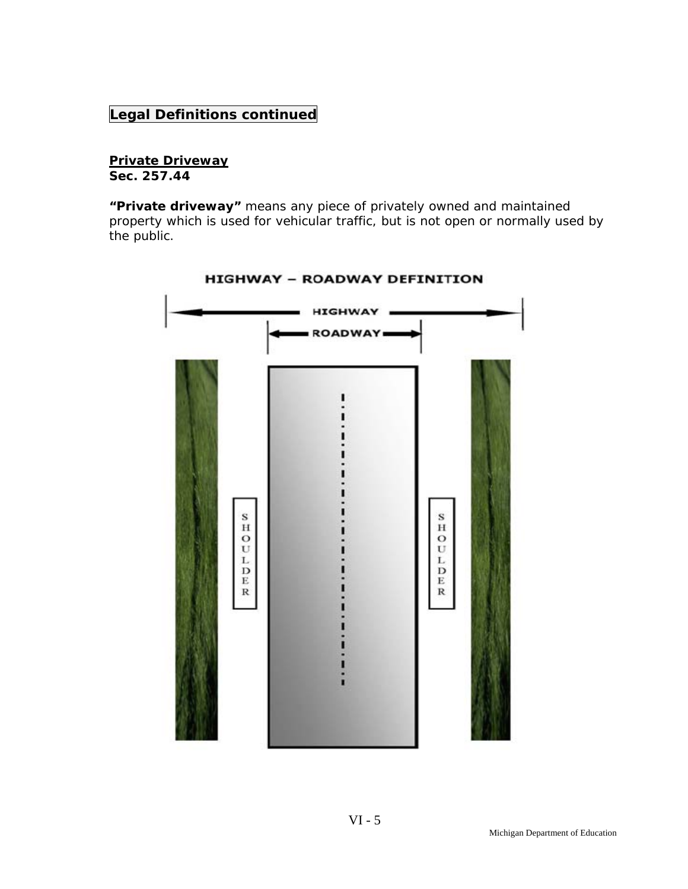## **Legal Definitions continued**

## **Private Driveway**

**Sec. 257.44** 

**"Private driveway"** means any piece of privately owned and maintained property which is used for vehicular traffic, but is not open or normally used by the public.



**HIGHWAY - ROADWAY DEFINITION**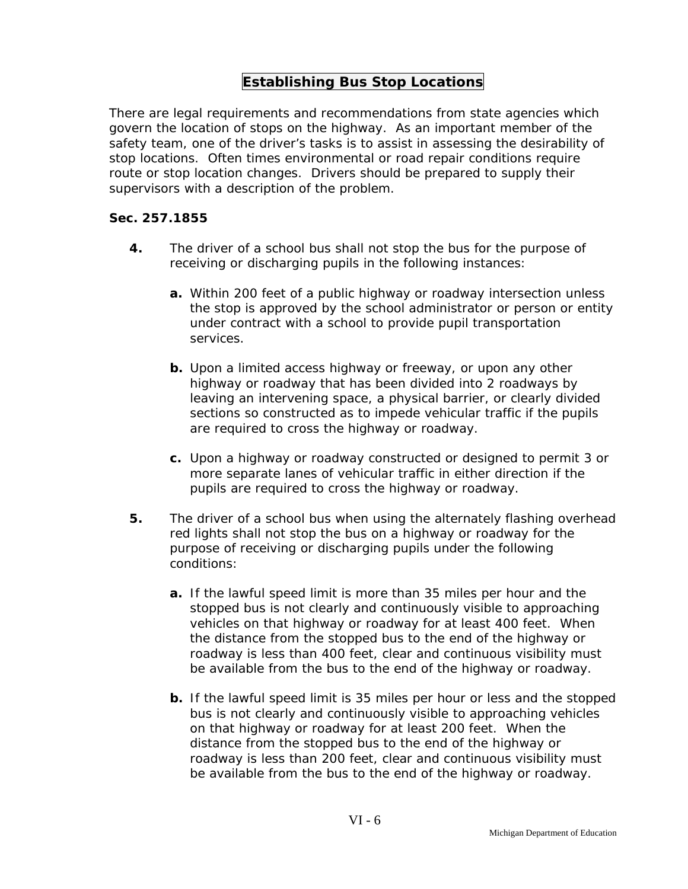## **Establishing Bus Stop Locations**

There are legal requirements and recommendations from state agencies which govern the location of stops on the highway. As an important member of the safety team, one of the driver's tasks is to assist in assessing the desirability of stop locations. Often times environmental or road repair conditions require route or stop location changes. Drivers should be prepared to supply their supervisors with a description of the problem.

#### **Sec. 257.1855**

- **4.** The driver of a school bus shall not stop the bus for the purpose of receiving or discharging pupils in the following instances:
	- **a.** Within 200 feet of a public highway or roadway intersection unless the stop is approved by the school administrator or person or entity under contract with a school to provide pupil transportation services.
	- **b.** Upon a limited access highway or freeway, or upon any other highway or roadway that has been divided into 2 roadways by leaving an intervening space, a physical barrier, or clearly divided sections so constructed as to impede vehicular traffic if the pupils are required to cross the highway or roadway.
	- **c.** Upon a highway or roadway constructed or designed to permit 3 or more separate lanes of vehicular traffic in either direction if the pupils are required to cross the highway or roadway.
- **5.** The driver of a school bus when using the alternately flashing overhead red lights shall not stop the bus on a highway or roadway for the purpose of receiving or discharging pupils under the following conditions:
	- **a.** If the lawful speed limit is more than 35 miles per hour and the stopped bus is not clearly and continuously visible to approaching vehicles on that highway or roadway for at least 400 feet. When the distance from the stopped bus to the end of the highway or roadway is less than 400 feet, clear and continuous visibility must be available from the bus to the end of the highway or roadway.
	- **b.** If the lawful speed limit is 35 miles per hour or less and the stopped bus is not clearly and continuously visible to approaching vehicles on that highway or roadway for at least 200 feet. When the distance from the stopped bus to the end of the highway or roadway is less than 200 feet, clear and continuous visibility must be available from the bus to the end of the highway or roadway.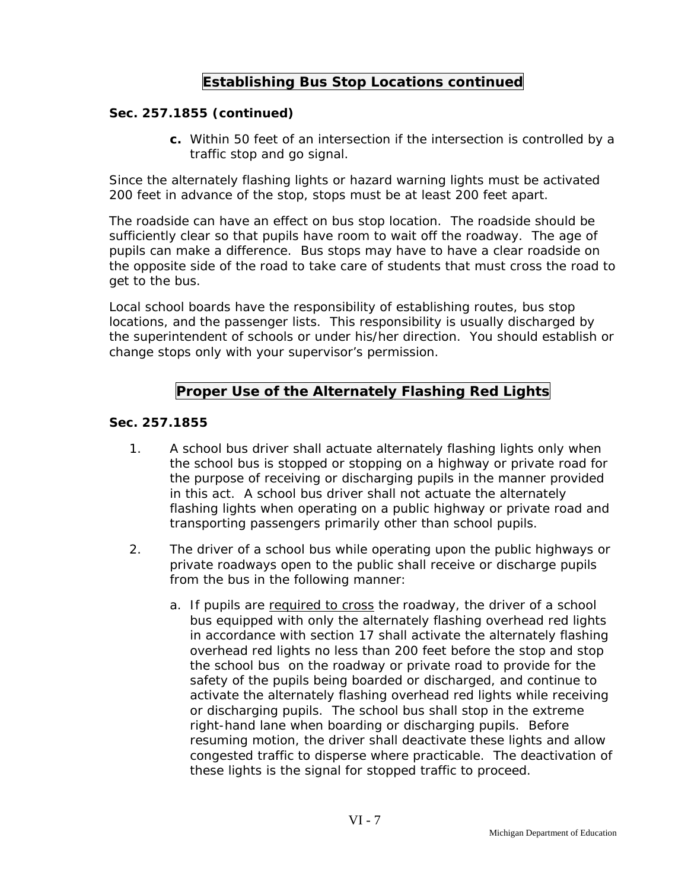## **Establishing Bus Stop Locations continued**

#### **Sec. 257.1855 (continued)**

**c.** Within 50 feet of an intersection if the intersection is controlled by a traffic stop and go signal.

Since the alternately flashing lights or hazard warning lights must be activated 200 feet in advance of the stop, stops must be at least 200 feet apart.

The roadside can have an effect on bus stop location. The roadside should be sufficiently clear so that pupils have room to wait off the roadway. The age of pupils can make a difference. Bus stops may have to have a clear roadside on the opposite side of the road to take care of students that must cross the road to get to the bus.

Local school boards have the responsibility of establishing routes, bus stop locations, and the passenger lists. This responsibility is usually discharged by the superintendent of schools or under his/her direction. You should establish or change stops only with your supervisor's permission.

## **Proper Use of the Alternately Flashing Red Lights**

#### **Sec. 257.1855**

- 1. A school bus driver shall actuate alternately flashing lights only when the school bus is stopped or stopping on a highway or private road for the purpose of receiving or discharging pupils in the manner provided in this act. A school bus driver shall not actuate the alternately flashing lights when operating on a public highway or private road and transporting passengers primarily other than school pupils.
- 2. The driver of a school bus while operating upon the public highways or private roadways open to the public shall receive or discharge pupils from the bus in the following manner:
	- a. If pupils are required to cross the roadway, the driver of a school bus equipped with only the alternately flashing overhead red lights in accordance with section 17 shall activate the alternately flashing overhead red lights no less than 200 feet before the stop and stop the school bus on the roadway or private road to provide for the safety of the pupils being boarded or discharged, and continue to activate the alternately flashing overhead red lights while receiving or discharging pupils. The school bus shall stop in the extreme right-hand lane when boarding or discharging pupils. Before resuming motion, the driver shall deactivate these lights and allow congested traffic to disperse where practicable. The deactivation of these lights is the signal for stopped traffic to proceed.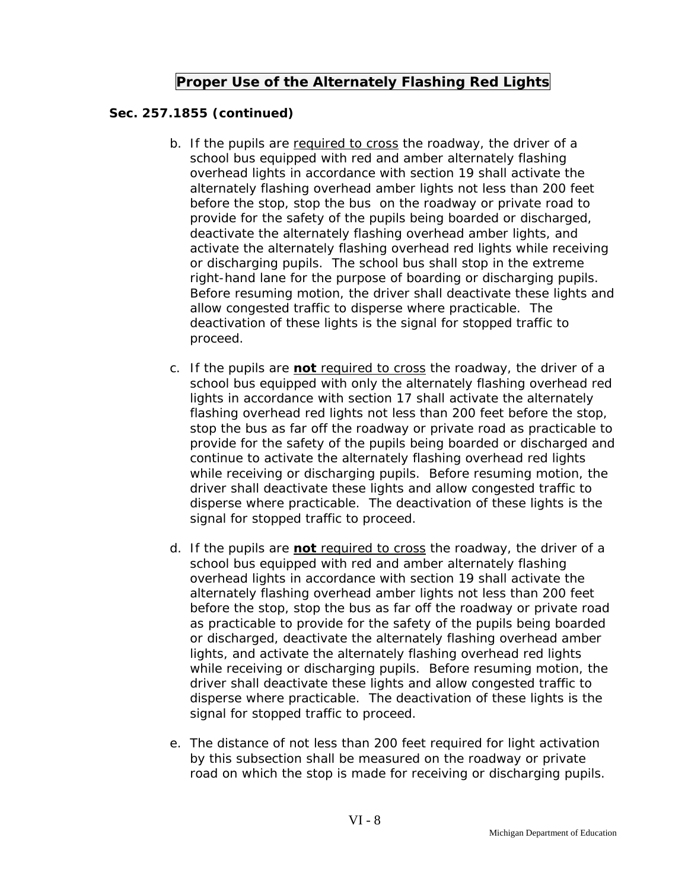### **Proper Use of the Alternately Flashing Red Lights**

#### **Sec. 257.1855 (continued)**

- b. If the pupils are required to cross the roadway, the driver of a school bus equipped with red and amber alternately flashing overhead lights in accordance with section 19 shall activate the alternately flashing overhead amber lights not less than 200 feet before the stop, stop the bus on the roadway or private road to provide for the safety of the pupils being boarded or discharged, deactivate the alternately flashing overhead amber lights, and activate the alternately flashing overhead red lights while receiving or discharging pupils. The school bus shall stop in the extreme right-hand lane for the purpose of boarding or discharging pupils. Before resuming motion, the driver shall deactivate these lights and allow congested traffic to disperse where practicable. The deactivation of these lights is the signal for stopped traffic to proceed.
- c. If the pupils are **not** required to cross the roadway, the driver of a school bus equipped with only the alternately flashing overhead red lights in accordance with section 17 shall activate the alternately flashing overhead red lights not less than 200 feet before the stop, stop the bus as far off the roadway or private road as practicable to provide for the safety of the pupils being boarded or discharged and continue to activate the alternately flashing overhead red lights while receiving or discharging pupils. Before resuming motion, the driver shall deactivate these lights and allow congested traffic to disperse where practicable. The deactivation of these lights is the signal for stopped traffic to proceed.
- d. If the pupils are **not** required to cross the roadway, the driver of a school bus equipped with red and amber alternately flashing overhead lights in accordance with section 19 shall activate the alternately flashing overhead amber lights not less than 200 feet before the stop, stop the bus as far off the roadway or private road as practicable to provide for the safety of the pupils being boarded or discharged, deactivate the alternately flashing overhead amber lights, and activate the alternately flashing overhead red lights while receiving or discharging pupils. Before resuming motion, the driver shall deactivate these lights and allow congested traffic to disperse where practicable. The deactivation of these lights is the signal for stopped traffic to proceed.
- e. The distance of not less than 200 feet required for light activation by this subsection shall be measured on the roadway or private road on which the stop is made for receiving or discharging pupils.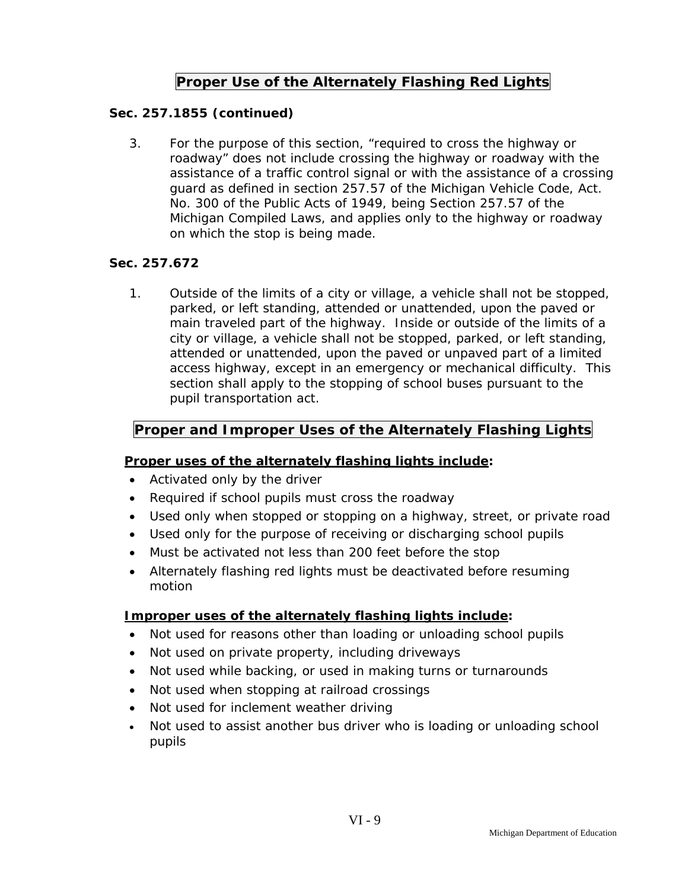## **Proper Use of the Alternately Flashing Red Lights**

#### **Sec. 257.1855 (continued)**

3. For the purpose of this section, "required to cross the highway or roadway" does not include crossing the highway or roadway with the assistance of a traffic control signal or with the assistance of a crossing guard as defined in section 257.57 of the Michigan Vehicle Code, Act. No. 300 of the Public Acts of 1949, being Section 257.57 of the Michigan Compiled Laws, and applies only to the highway or roadway on which the stop is being made.

#### **Sec. 257.672**

1. Outside of the limits of a city or village, a vehicle shall not be stopped, parked, or left standing, attended or unattended, upon the paved or main traveled part of the highway. Inside or outside of the limits of a city or village, a vehicle shall not be stopped, parked, or left standing, attended or unattended, upon the paved or unpaved part of a limited access highway, except in an emergency or mechanical difficulty. This section shall apply to the stopping of school buses pursuant to the pupil transportation act.

## **Proper and Improper Uses of the Alternately Flashing Lights**

#### **Proper uses of the alternately flashing lights include:**

- Activated only by the driver
- Required if school pupils must cross the roadway
- Used only when stopped or stopping on a highway, street, or private road
- Used only for the purpose of receiving or discharging school pupils
- Must be activated not less than 200 feet before the stop
- Alternately flashing red lights must be deactivated before resuming motion

#### **Improper uses of the alternately flashing lights include:**

- Not used for reasons other than loading or unloading school pupils
- Not used on private property, including driveways
- Not used while backing, or used in making turns or turnarounds
- Not used when stopping at railroad crossings
- Not used for inclement weather driving
- Not used to assist another bus driver who is loading or unloading school pupils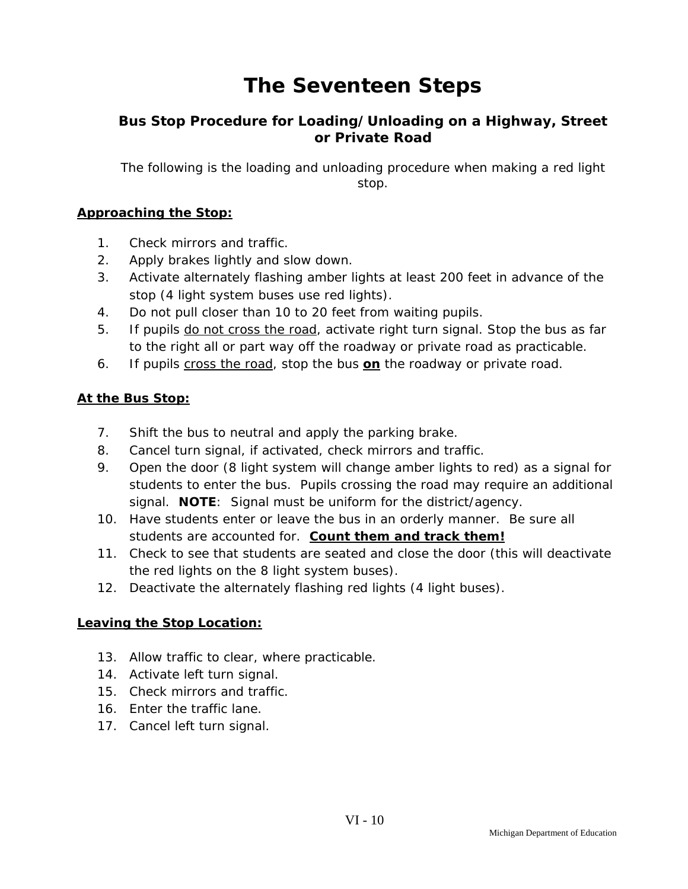# **The Seventeen Steps**

### **Bus Stop Procedure for Loading/Unloading on a Highway, Street or Private Road**

*The following is the loading and unloading procedure when making a red light stop.* 

#### **Approaching the Stop:**

- 1. Check mirrors and traffic.
- 2. Apply brakes lightly and slow down.
- 3. Activate alternately flashing amber lights at least 200 feet in advance of the stop (4 light system buses use red lights).
- 4. Do not pull closer than 10 to 20 feet from waiting pupils.
- 5. If pupils do not cross the road, activate right turn signal. Stop the bus as far to the right all or part way off the roadway or private road as practicable.
- 6. If pupils cross the road, stop the bus **on** the roadway or private road.

#### **At the Bus Stop:**

- 7. Shift the bus to neutral and apply the parking brake.
- 8. Cancel turn signal, if activated, check mirrors and traffic.
- 9. Open the door (8 light system will change amber lights to red) as a signal for students to enter the bus. Pupils crossing the road may require an additional signal. **NOTE**: Signal must be uniform for the district/agency.
- 10. Have students enter or leave the bus in an orderly manner. Be sure all students are accounted for. **Count them and track them!**
- 11. Check to see that students are seated and close the door (this will deactivate the red lights on the 8 light system buses).
- 12. Deactivate the alternately flashing red lights (4 light buses).

#### **Leaving the Stop Location:**

- 13. Allow traffic to clear, where practicable.
- 14. Activate left turn signal.
- 15. Check mirrors and traffic.
- 16. Enter the traffic lane.
- 17. Cancel left turn signal.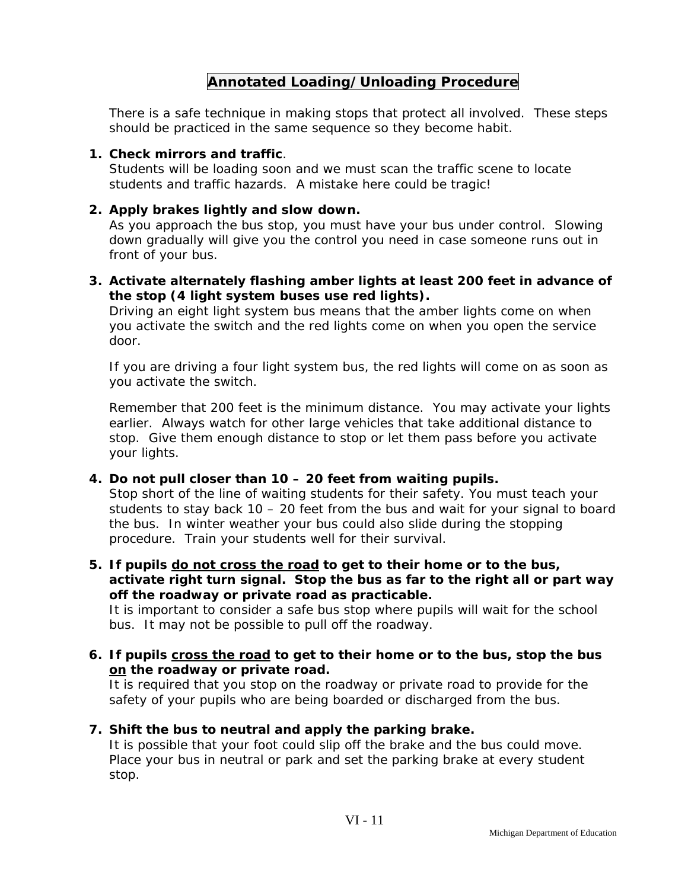## **Annotated Loading/Unloading Procedure**

There is a safe technique in making stops that protect all involved. These steps should be practiced in the same sequence so they become habit.

#### **1. Check mirrors and traffic**.

Students will be loading soon and we must scan the traffic scene to locate students and traffic hazards. A mistake here could be tragic!

#### **2. Apply brakes lightly and slow down.**

As you approach the bus stop, you must have your bus under control. Slowing down gradually will give you the control you need in case someone runs out in front of your bus.

**3. Activate alternately flashing amber lights at least 200 feet in advance of the stop (4 light system buses use red lights).** 

Driving an eight light system bus means that the amber lights come on when you activate the switch and the red lights come on when you open the service door.

If you are driving a four light system bus, the red lights will come on as soon as you activate the switch.

Remember that 200 feet is the minimum distance. You may activate your lights earlier. Always watch for other large vehicles that take additional distance to stop. Give them enough distance to stop or let them pass before you activate your lights.

#### **4. Do not pull closer than 10 – 20 feet from waiting pupils.**

Stop short of the line of waiting students for their safety. You must teach your students to stay back 10 – 20 feet from the bus and wait for your signal to board the bus. In winter weather your bus could also slide during the stopping procedure. Train your students well for their survival.

**5. If pupils do not cross the road to get to their home or to the bus, activate right turn signal. Stop the bus as far to the right all or part way off the roadway or private road as practicable.** 

It is important to consider a safe bus stop where pupils will wait for the school bus. It may not be possible to pull off the roadway.

**6. If pupils cross the road to get to their home or to the bus, stop the bus on the roadway or private road.** 

 It is required that you stop on the roadway or private road to provide for the safety of your pupils who are being boarded or discharged from the bus.

#### **7. Shift the bus to neutral and apply the parking brake.**

 It is possible that your foot could slip off the brake and the bus could move. Place your bus in neutral or park and set the parking brake at every student stop.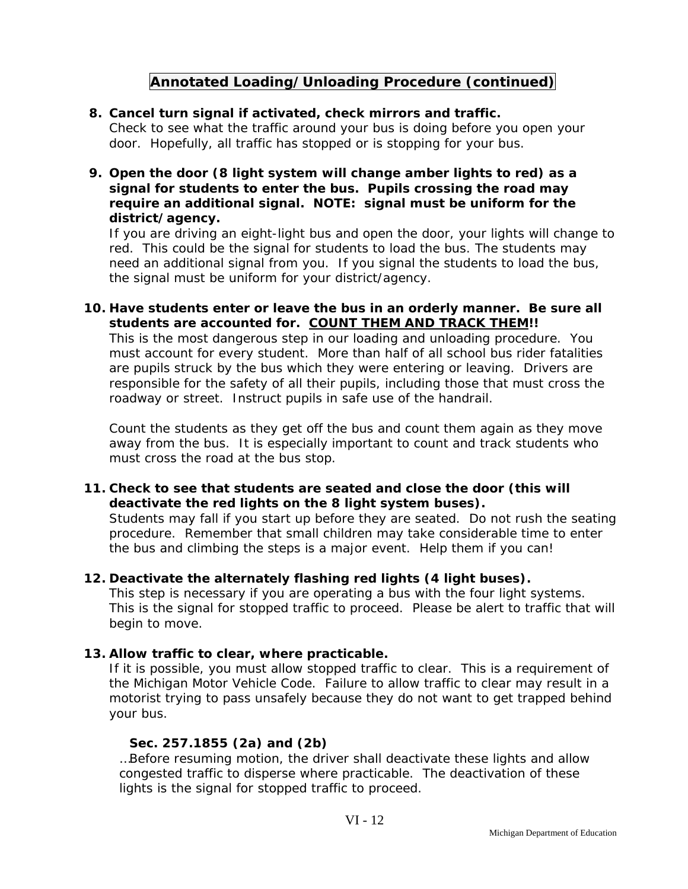## **Annotated Loading/Unloading Procedure (continued)**

#### **8. Cancel turn signal if activated, check mirrors and traffic.**

 Check to see what the traffic around your bus is doing before you open your door. Hopefully, all traffic has stopped or is stopping for your bus.

**9. Open the door (8 light system will change amber lights to red) as a signal for students to enter the bus. Pupils crossing the road may require an additional signal. NOTE: signal must be uniform for the district/agency.** 

 If you are driving an eight-light bus and open the door, your lights will change to red. This could be the signal for students to load the bus. The students may need an additional signal from you. If you signal the students to load the bus, the signal must be uniform for your district/agency.

**10. Have students enter or leave the bus in an orderly manner. Be sure all students are accounted for. COUNT THEM AND TRACK THEM!!** 

 This is the most dangerous step in our loading and unloading procedure. You must account for every student. More than half of all school bus rider fatalities are pupils struck by the bus which they were entering or leaving. Drivers are responsible for the safety of all their pupils, including those that must cross the roadway or street. Instruct pupils in safe use of the handrail.

 Count the students as they get off the bus and count them again as they move away from the bus. It is especially important to count and track students who must cross the road at the bus stop.

#### **11. Check to see that students are seated and close the door (this will deactivate the red lights on the 8 light system buses).**

Students may fall if you start up before they are seated. Do not rush the seating procedure. Remember that small children may take considerable time to enter the bus and climbing the steps is a major event. Help them if you can!

#### **12. Deactivate the alternately flashing red lights (4 light buses).**

This step is necessary if you are operating a bus with the four light systems. This is the signal for stopped traffic to proceed. Please be alert to traffic that will begin to move.

#### **13. Allow traffic to clear, where practicable.**

If it is possible, you must allow stopped traffic to clear. This is a requirement of the Michigan Motor Vehicle Code. Failure to allow traffic to clear may result in a motorist trying to pass unsafely because they do not want to get trapped behind your bus.

#### **Sec. 257.1855 (2a) and (2b)**

…Before resuming motion, the driver shall deactivate these lights and allow congested traffic to disperse where practicable. The deactivation of these lights is the signal for stopped traffic to proceed.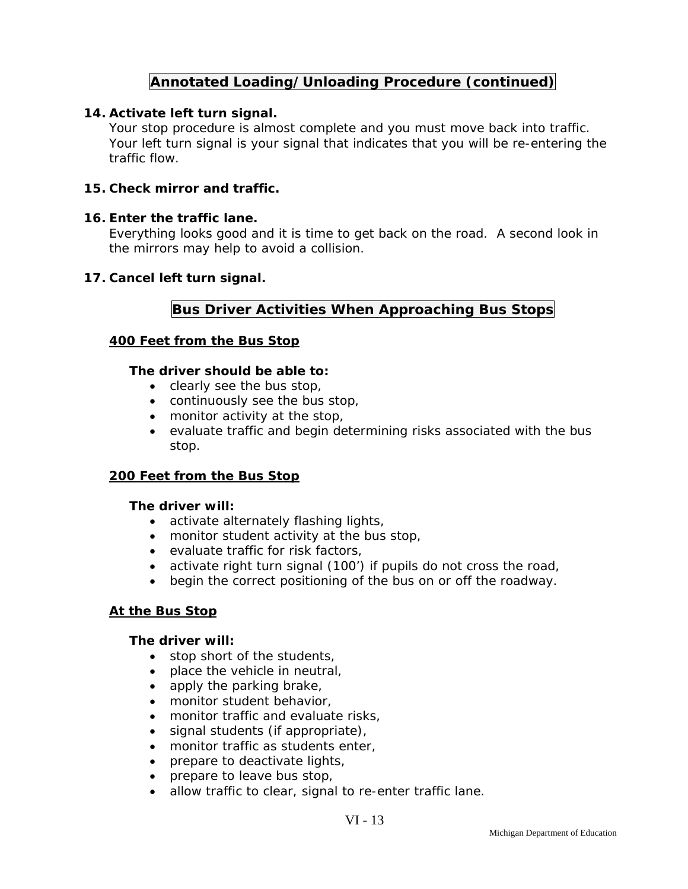## **Annotated Loading/Unloading Procedure (continued)**

#### **14. Activate left turn signal.**

Your stop procedure is almost complete and you must move back into traffic. Your left turn signal is your signal that indicates that you will be re-entering the traffic flow.

#### **15. Check mirror and traffic.**

#### **16. Enter the traffic lane.**

Everything looks good and it is time to get back on the road. A second look in the mirrors may help to avoid a collision.

#### **17. Cancel left turn signal.**

#### **Bus Driver Activities When Approaching Bus Stops**

#### **400 Feet from the Bus Stop**

#### **The driver should be able to:**

- clearly see the bus stop,
- continuously see the bus stop,
- monitor activity at the stop,
- evaluate traffic and begin determining risks associated with the bus stop.

#### **200 Feet from the Bus Stop**

#### **The driver will:**

- activate alternately flashing lights,
- monitor student activity at the bus stop,
- evaluate traffic for risk factors,
- activate right turn signal (100') if pupils do not cross the road,
- begin the correct positioning of the bus on or off the roadway.

#### **At the Bus Stop**

#### **The driver will:**

- stop short of the students,
- place the vehicle in neutral,
- apply the parking brake,
- monitor student behavior,
- monitor traffic and evaluate risks,
- signal students (if appropriate),
- monitor traffic as students enter,
- prepare to deactivate lights,
- prepare to leave bus stop,
- allow traffic to clear, signal to re-enter traffic lane.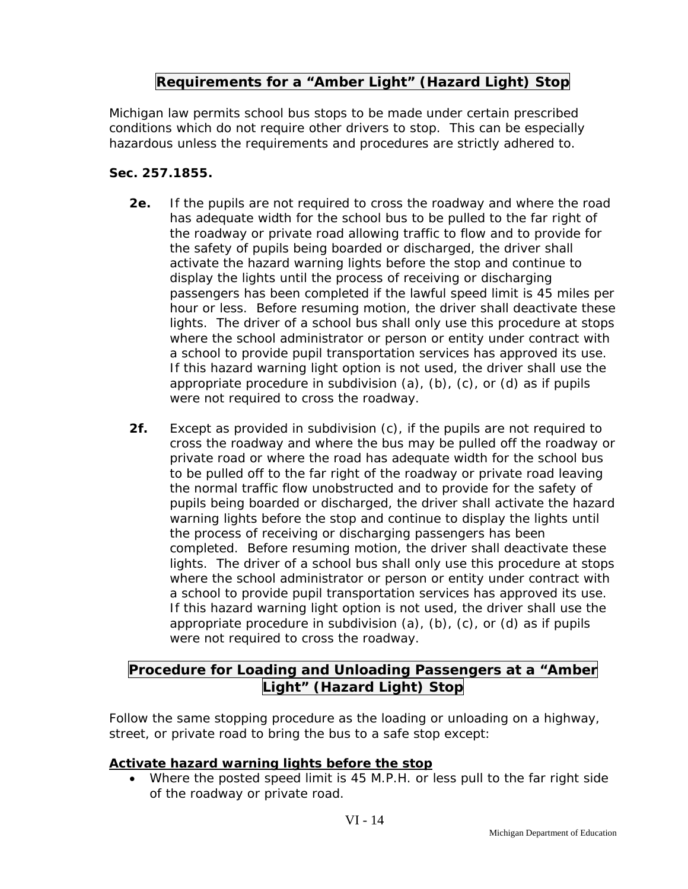## **Requirements for a "Amber Light" (Hazard Light) Stop**

Michigan law permits school bus stops to be made under certain prescribed conditions which do not require other drivers to stop. This can be especially hazardous unless the requirements and procedures are strictly adhered to.

#### **Sec. 257.1855.**

- **2e.** If the pupils are not required to cross the roadway and where the road has adequate width for the school bus to be pulled to the far right of the roadway or private road allowing traffic to flow and to provide for the safety of pupils being boarded or discharged, the driver shall activate the hazard warning lights before the stop and continue to display the lights until the process of receiving or discharging passengers has been completed if the lawful speed limit is 45 miles per hour or less. Before resuming motion, the driver shall deactivate these lights. The driver of a school bus shall only use this procedure at stops where the school administrator or person or entity under contract with a school to provide pupil transportation services has approved its use. If this hazard warning light option is not used, the driver shall use the appropriate procedure in subdivision (a), (b), (c), or (d) as if pupils were not required to cross the roadway.
- **2f.** Except as provided in subdivision (c), if the pupils are not required to cross the roadway and where the bus may be pulled off the roadway or private road or where the road has adequate width for the school bus to be pulled off to the far right of the roadway or private road leaving the normal traffic flow unobstructed and to provide for the safety of pupils being boarded or discharged, the driver shall activate the hazard warning lights before the stop and continue to display the lights until the process of receiving or discharging passengers has been completed. Before resuming motion, the driver shall deactivate these lights. The driver of a school bus shall only use this procedure at stops where the school administrator or person or entity under contract with a school to provide pupil transportation services has approved its use. If this hazard warning light option is not used, the driver shall use the appropriate procedure in subdivision  $(a)$ ,  $(b)$ ,  $(c)$ , or  $(d)$  as if pupils were not required to cross the roadway.

## **Procedure for Loading and Unloading Passengers at a "Amber** Light" (Hazard Light) Stop

Follow the same stopping procedure as the loading or unloading on a highway, street, or private road to bring the bus to a safe stop except:

#### **Activate hazard warning lights before the stop**

 Where the posted speed limit is 45 M.P.H. or less pull to the far right side of the roadway or private road.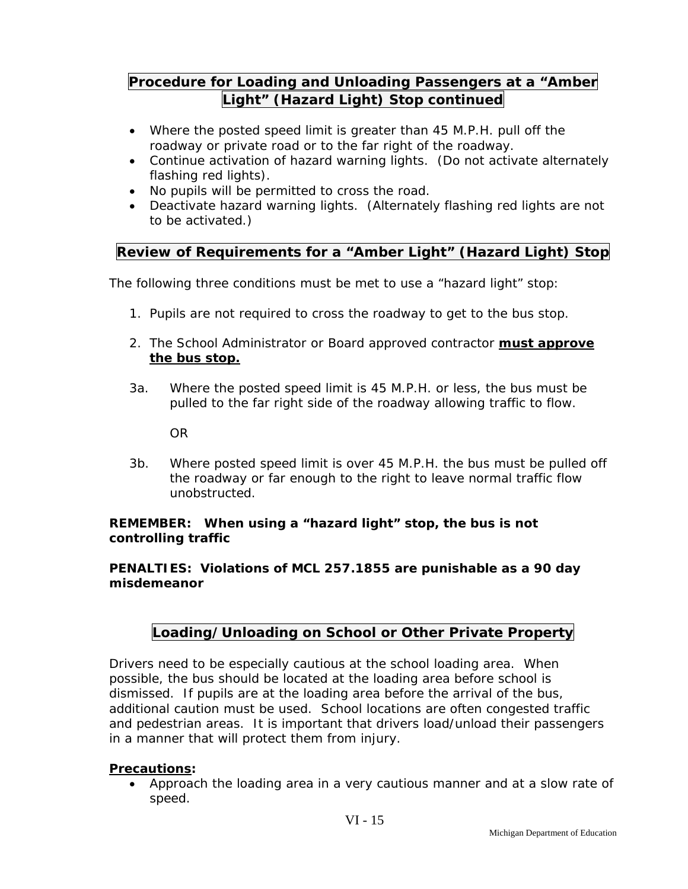## **Procedure for Loading and Unloading Passengers at a "Amber Light" (Hazard Light) Stop continued**

- Where the posted speed limit is greater than 45 M.P.H. pull off the roadway or private road or to the far right of the roadway.
- Continue activation of hazard warning lights. (Do not activate alternately flashing red lights).
- No pupils will be permitted to cross the road.
- Deactivate hazard warning lights. (Alternately flashing red lights are not to be activated.)

## **Review of Requirements for a "Amber Light" (Hazard Light) Stop**

The following three conditions must be met to use a "hazard light" stop:

- 1. Pupils are not required to cross the roadway to get to the bus stop.
- 2. The School Administrator or Board approved contractor **must approve the bus stop.**
- 3a. Where the posted speed limit is 45 M.P.H. or less, the bus must be pulled to the far right side of the roadway allowing traffic to flow.

OR

3b. Where posted speed limit is over 45 M.P.H. the bus must be pulled off the roadway or far enough to the right to leave normal traffic flow unobstructed.

#### **REMEMBER: When using a "hazard light" stop, the bus is not controlling traffic**

#### **PENALTIES: Violations of MCL 257.1855 are punishable as a 90 day misdemeanor**

## **Loading/Unloading on School or Other Private Property**

Drivers need to be especially cautious at the school loading area. When possible, the bus should be located at the loading area before school is dismissed. If pupils are at the loading area before the arrival of the bus, additional caution must be used. School locations are often congested traffic and pedestrian areas. It is important that drivers load/unload their passengers in a manner that will protect them from injury.

#### **Precautions:**

 Approach the loading area in a very cautious manner and at a slow rate of speed.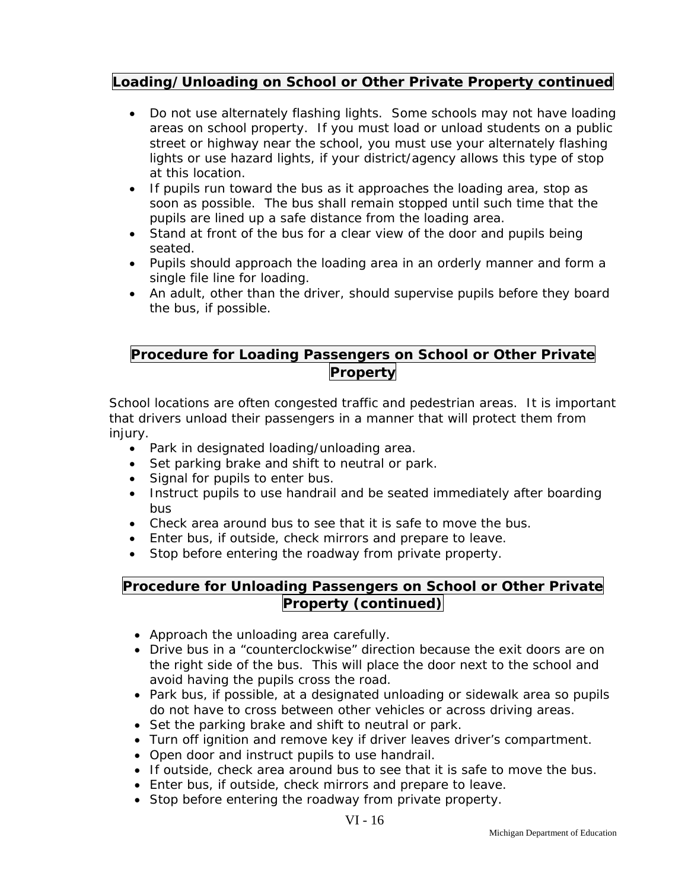### **Loading/Unloading on School or Other Private Property continued**

- Do not use alternately flashing lights. Some schools may not have loading areas on school property. If you must load or unload students on a public street or highway near the school, you must use your alternately flashing lights or use hazard lights, if your district/agency allows this type of stop at this location.
- If pupils run toward the bus as it approaches the loading area, stop as soon as possible. The bus shall remain stopped until such time that the pupils are lined up a safe distance from the loading area.
- Stand at front of the bus for a clear view of the door and pupils being seated.
- Pupils should approach the loading area in an orderly manner and form a single file line for loading.
- An adult, other than the driver, should supervise pupils before they board the bus, if possible.

## **Procedure for Loading Passengers on School or Other Private Property**

School locations are often congested traffic and pedestrian areas. It is important that drivers unload their passengers in a manner that will protect them from injury.

- Park in designated loading/unloading area.
- Set parking brake and shift to neutral or park.
- Signal for pupils to enter bus.
- Instruct pupils to use handrail and be seated immediately after boarding bus
- Check area around bus to see that it is safe to move the bus.
- Enter bus, if outside, check mirrors and prepare to leave.
- Stop before entering the roadway from private property.

## **Procedure for Unloading Passengers on School or Other Private Property (continued)**

- Approach the unloading area carefully.
- Drive bus in a "counterclockwise" direction because the exit doors are on the right side of the bus. This will place the door next to the school and avoid having the pupils cross the road.
- Park bus, if possible, at a designated unloading or sidewalk area so pupils do not have to cross between other vehicles or across driving areas.
- Set the parking brake and shift to neutral or park.
- Turn off ignition and remove key if driver leaves driver's compartment.
- Open door and instruct pupils to use handrail.
- If outside, check area around bus to see that it is safe to move the bus.
- Enter bus, if outside, check mirrors and prepare to leave.
- Stop before entering the roadway from private property.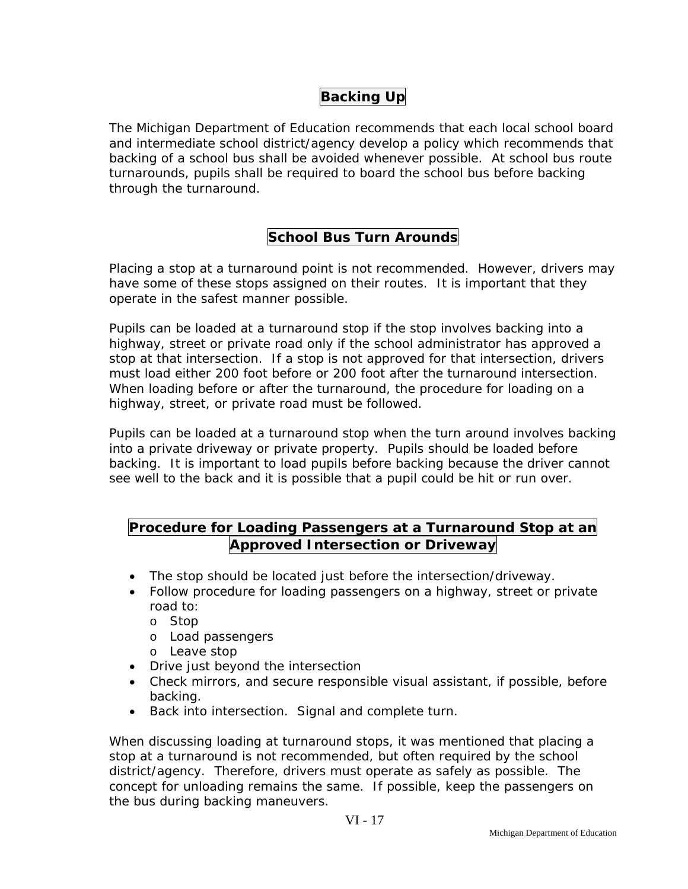## **Backing Up**

The Michigan Department of Education recommends that each local school board and intermediate school district/agency develop a policy which recommends that backing of a school bus shall be avoided whenever possible. At school bus route turnarounds, pupils shall be required to board the school bus before backing through the turnaround.

## **School Bus Turn Arounds**

Placing a stop at a turnaround point is not recommended. However, drivers may have some of these stops assigned on their routes. It is important that they operate in the safest manner possible.

Pupils can be loaded at a turnaround stop if the stop involves backing into a highway, street or private road only if the school administrator has approved a stop at that intersection. If a stop is not approved for that intersection, drivers must load either 200 foot before or 200 foot after the turnaround intersection. When loading before or after the turnaround, the procedure for loading on a highway, street, or private road must be followed.

Pupils can be loaded at a turnaround stop when the turn around involves backing into a private driveway or private property. Pupils should be loaded before backing. It is important to load pupils before backing because the driver cannot see well to the back and it is possible that a pupil could be hit or run over.

## **Procedure for Loading Passengers at a Turnaround Stop at an Approved Intersection or Driveway**

- The stop should be located just before the intersection/driveway.
- Follow procedure for loading passengers on a highway, street or private road to:
	- o Stop
	- o Load passengers
	- o Leave stop
- Drive just beyond the intersection
- Check mirrors, and secure responsible visual assistant, if possible, before backing.
- Back into intersection. Signal and complete turn.

When discussing loading at turnaround stops, it was mentioned that placing a stop at a turnaround is not recommended, but often required by the school district/agency. Therefore, drivers must operate as safely as possible. The concept for unloading remains the same. If possible, keep the passengers on the bus during backing maneuvers.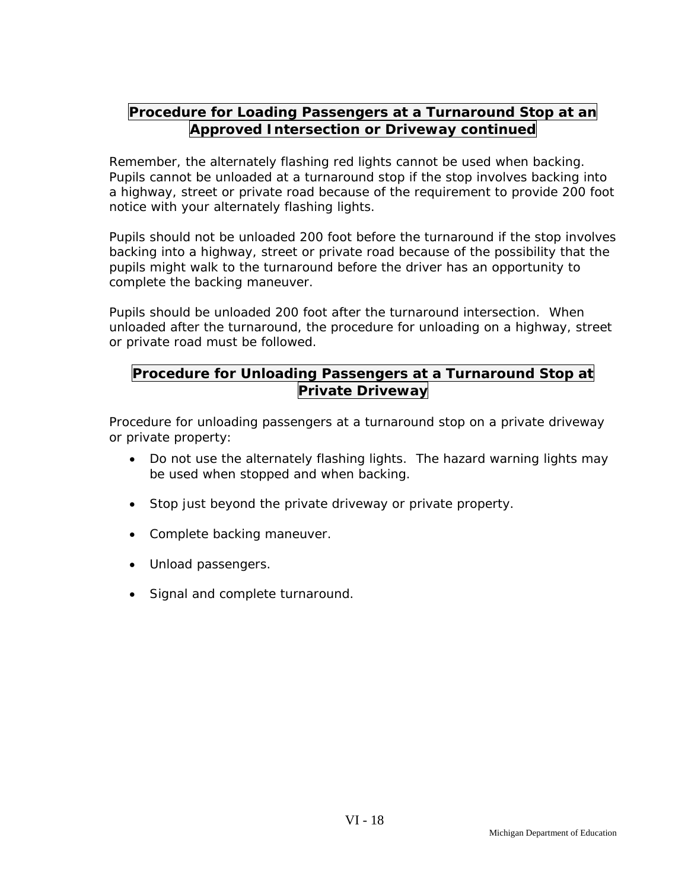## **Procedure for Loading Passengers at a Turnaround Stop at an Approved Intersection or Driveway continued**

Remember, the alternately flashing red lights cannot be used when backing. Pupils cannot be unloaded at a turnaround stop if the stop involves backing into a highway, street or private road because of the requirement to provide 200 foot notice with your alternately flashing lights.

Pupils should not be unloaded 200 foot before the turnaround if the stop involves backing into a highway, street or private road because of the possibility that the pupils might walk to the turnaround before the driver has an opportunity to complete the backing maneuver.

Pupils should be unloaded 200 foot after the turnaround intersection. When unloaded after the turnaround, the procedure for unloading on a highway, street or private road must be followed.

## **Procedure for Unloading Passengers at a Turnaround Stop at Private Driveway**

Procedure for unloading passengers at a turnaround stop on a private driveway or private property:

- Do not use the alternately flashing lights. The hazard warning lights may be used when stopped and when backing.
- Stop just beyond the private driveway or private property.
- Complete backing maneuver.
- Unload passengers.
- Signal and complete turnaround.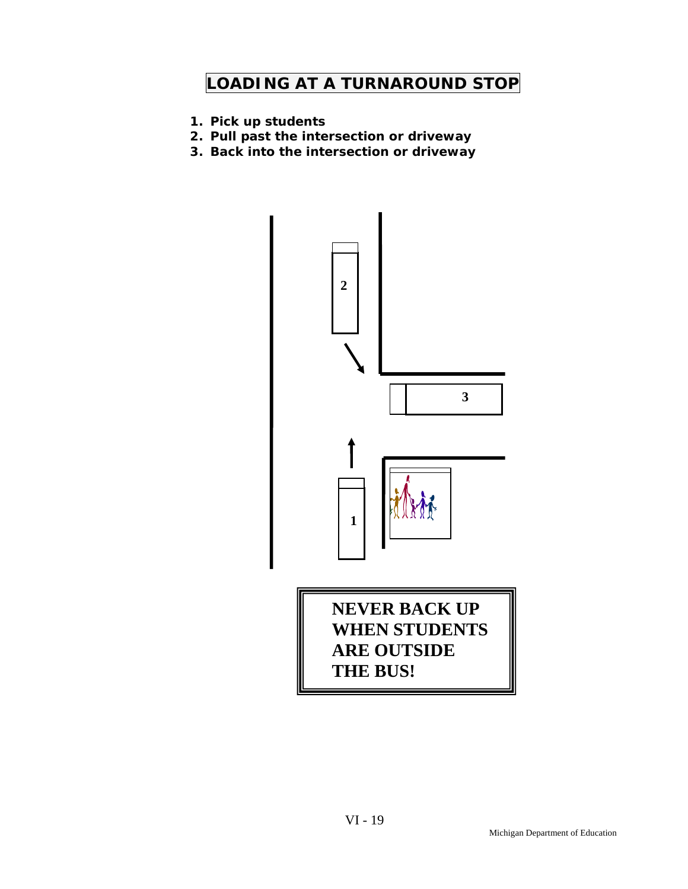# **LOADING AT A TURNAROUND STOP**

- **1. Pick up students**
- **2. Pull past the intersection or driveway**
- **3. Back into the intersection or driveway**

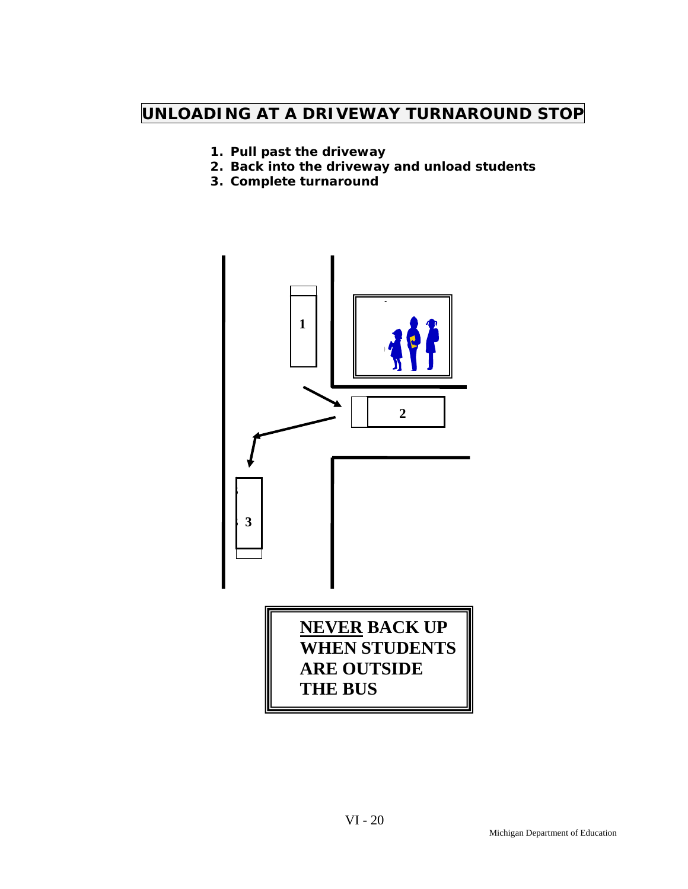# **UNLOADING AT A DRIVEWAY TURNAROUND STOP**

- **1. Pull past the driveway**
- **2. Back into the driveway and unload students**
- **3. Complete turnaround**

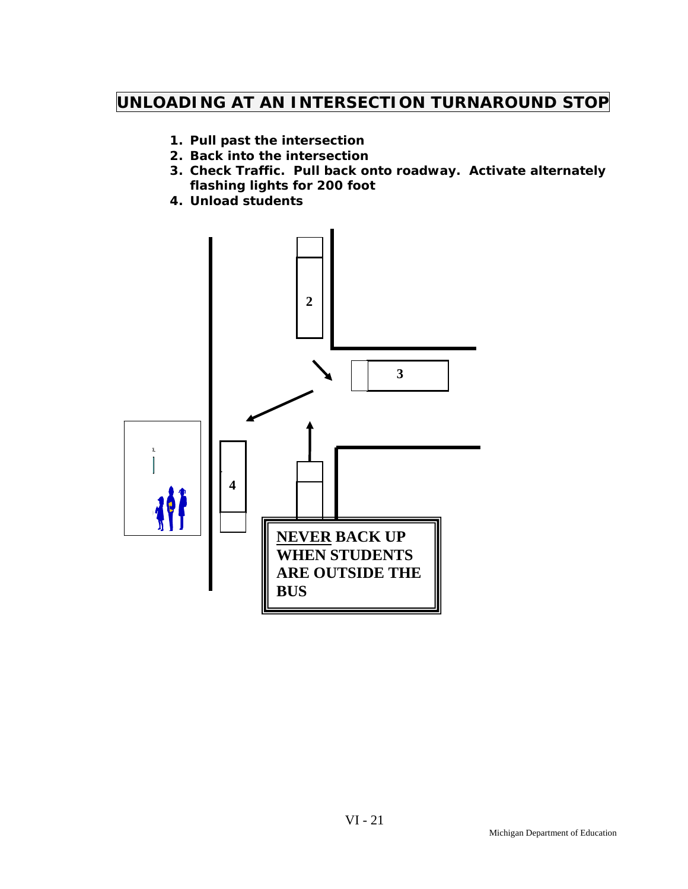# **UNLOADING AT AN INTERSECTION TURNAROUND STOP**

- **1. Pull past the intersection**
- **2. Back into the intersection**
- **3. Check Traffic. Pull back onto roadway. Activate alternately flashing lights for 200 foot**
- **4. Unload students**

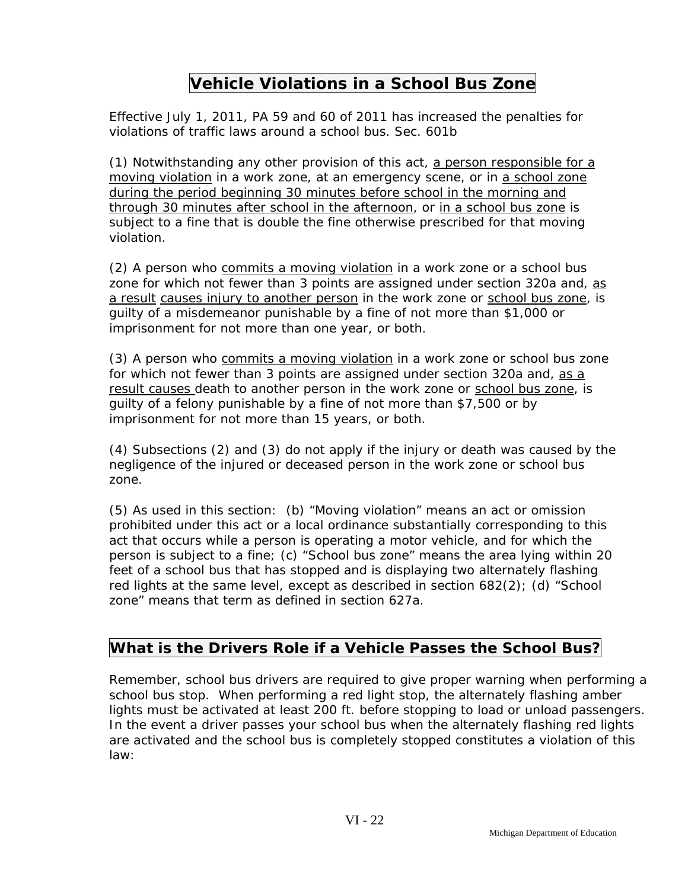## **Vehicle Violations in a School Bus Zone**

Effective July 1, 2011, PA 59 and 60 of 2011 has increased the penalties for violations of traffic laws around a school bus. Sec. 601b

(1) Notwithstanding any other provision of this act, a person responsible for a moving violation in a work zone, at an emergency scene, or in a school zone during the period beginning 30 minutes before school in the morning and through 30 minutes after school in the afternoon, or in a school bus zone is subject to a fine that is double the fine otherwise prescribed for that moving violation.

(2) A person who commits a moving violation in a work zone or a school bus zone for which not fewer than 3 points are assigned under section 320a and, as a result causes injury to another person in the work zone or school bus zone, is guilty of a misdemeanor punishable by a fine of not more than \$1,000 or imprisonment for not more than one year, or both.

(3) A person who commits a moving violation in a work zone or school bus zone for which not fewer than 3 points are assigned under section 320a and, as a result causes death to another person in the work zone or school bus zone, is guilty of a felony punishable by a fine of not more than \$7,500 or by imprisonment for not more than 15 years, or both.

(4) Subsections (2) and (3) do not apply if the injury or death was caused by the negligence of the injured or deceased person in the work zone or school bus zone.

(5) As used in this section: (b) "Moving violation" means an act or omission prohibited under this act or a local ordinance substantially corresponding to this act that occurs while a person is operating a motor vehicle, and for which the person is subject to a fine; (c) "School bus zone" means the area lying within 20 feet of a school bus that has stopped and is displaying two alternately flashing red lights at the same level, except as described in section 682(2); (d) "School zone" means that term as defined in section 627a.

## **What is the Drivers Role if a Vehicle Passes the School Bus?**

Remember, school bus drivers are required to give proper warning when performing a school bus stop. When performing a red light stop, the alternately flashing amber lights must be activated at least 200 ft. before stopping to load or unload passengers. In the event a driver passes your school bus when the alternately flashing red lights are activated and the school bus is completely stopped constitutes a violation of this law: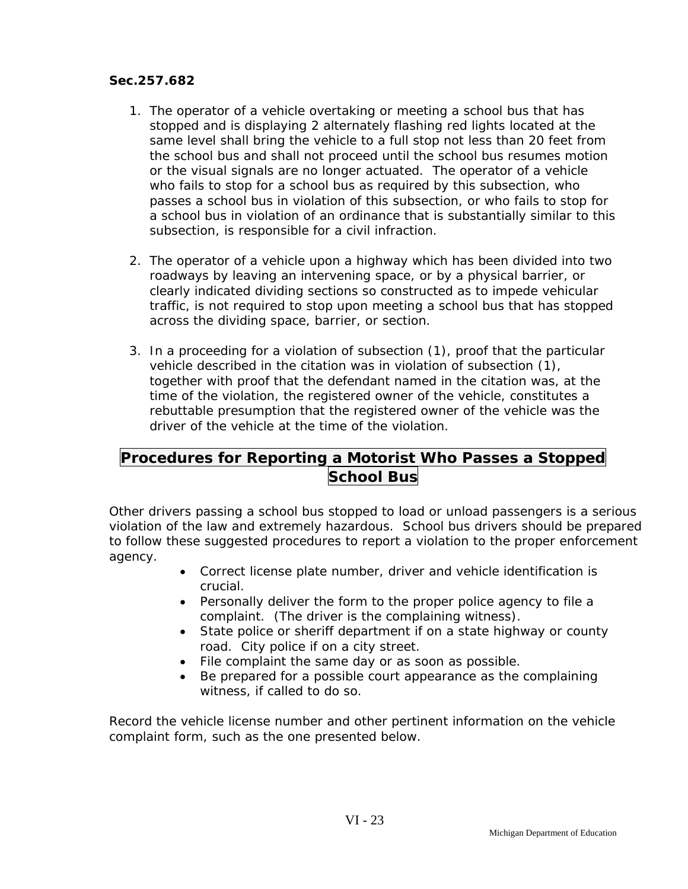#### **Sec.257.682**

- 1. The operator of a vehicle overtaking or meeting a school bus that has stopped and is displaying 2 alternately flashing red lights located at the same level shall bring the vehicle to a full stop not less than 20 feet from the school bus and shall not proceed until the school bus resumes motion or the visual signals are no longer actuated. The operator of a vehicle who fails to stop for a school bus as required by this subsection, who passes a school bus in violation of this subsection, or who fails to stop for a school bus in violation of an ordinance that is substantially similar to this subsection, is responsible for a civil infraction.
- 2. The operator of a vehicle upon a highway which has been divided into two roadways by leaving an intervening space, or by a physical barrier, or clearly indicated dividing sections so constructed as to impede vehicular traffic, is not required to stop upon meeting a school bus that has stopped across the dividing space, barrier, or section.
- 3. In a proceeding for a violation of subsection (1), proof that the particular vehicle described in the citation was in violation of subsection (1), together with proof that the defendant named in the citation was, at the time of the violation, the registered owner of the vehicle, constitutes a rebuttable presumption that the registered owner of the vehicle was the driver of the vehicle at the time of the violation.

## **Procedures for Reporting a Motorist Who Passes a Stopped School Bus**

Other drivers passing a school bus stopped to load or unload passengers is a serious violation of the law and extremely hazardous. School bus drivers should be prepared to follow these suggested procedures to report a violation to the proper enforcement agency.

- Correct license plate number, driver and vehicle identification is crucial.
- Personally deliver the form to the proper police agency to file a complaint. (The driver is the complaining witness).
- State police or sheriff department if on a state highway or county road. City police if on a city street.
- File complaint the same day or as soon as possible.
- Be prepared for a possible court appearance as the complaining witness, if called to do so.

Record the vehicle license number and other pertinent information on the vehicle complaint form, such as the one presented below.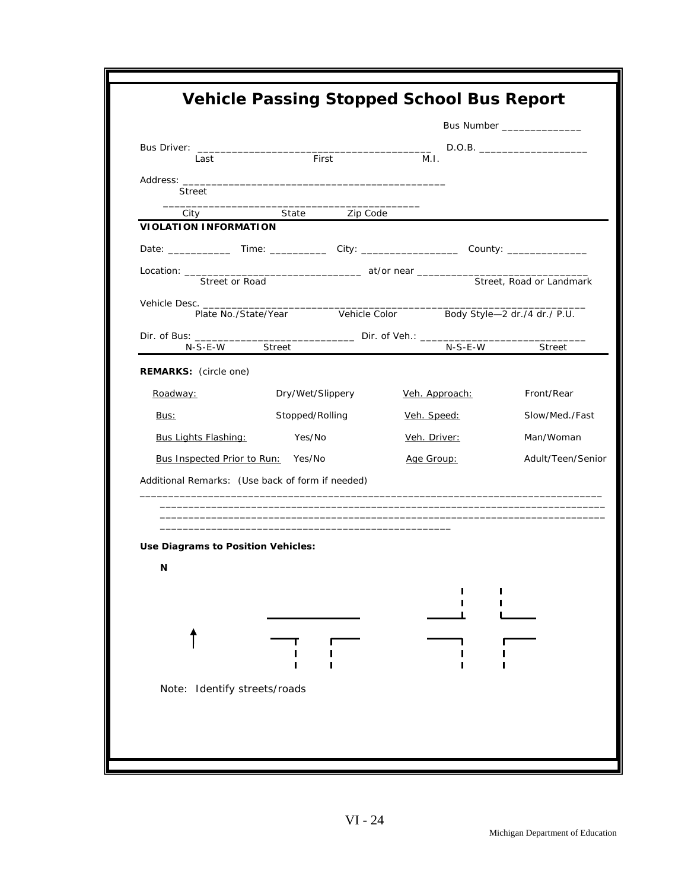| First<br>M.I.<br>Last<br>Street<br>State Zip Code<br>City<br><b>VIOLATION INFORMATION</b><br>Street, Road or Landmark<br>Street or Road<br>Vehicle Color Body Style-2 dr./4 dr./ P.U.<br>Plate No./State/Year<br>Dir. of Bus: ________<br>N-S-E-W Street<br>N-S-E-W<br>Street<br><b>REMARKS:</b> (circle one)<br>Dry/Wet/Slippery<br>Veh. Approach:<br>Front/Rear<br>Roadway:<br>Stopped/Rolling<br>Slow/Med./Fast<br>Veh. Speed:<br>Bus:<br><b>Bus Lights Flashing:</b> Yes/No<br>Veh. Driver:<br>Man/Woman<br>Adult/Teen/Senior<br>Bus Inspected Prior to Run: Yes/No<br>Age Group:<br>Additional Remarks: (Use back of form if needed)<br>the control of the control of the control of the control of the control of the control of the control of the control of the control of the control of the control of the control of the control of the control of the control<br>Use Diagrams to Position Vehicles:<br>N<br>Note: Identify streets/roads | Bus Number _________________ |
|-------------------------------------------------------------------------------------------------------------------------------------------------------------------------------------------------------------------------------------------------------------------------------------------------------------------------------------------------------------------------------------------------------------------------------------------------------------------------------------------------------------------------------------------------------------------------------------------------------------------------------------------------------------------------------------------------------------------------------------------------------------------------------------------------------------------------------------------------------------------------------------------------------------------------------------------------------|------------------------------|
|                                                                                                                                                                                                                                                                                                                                                                                                                                                                                                                                                                                                                                                                                                                                                                                                                                                                                                                                                       |                              |
|                                                                                                                                                                                                                                                                                                                                                                                                                                                                                                                                                                                                                                                                                                                                                                                                                                                                                                                                                       |                              |
|                                                                                                                                                                                                                                                                                                                                                                                                                                                                                                                                                                                                                                                                                                                                                                                                                                                                                                                                                       |                              |
|                                                                                                                                                                                                                                                                                                                                                                                                                                                                                                                                                                                                                                                                                                                                                                                                                                                                                                                                                       |                              |
|                                                                                                                                                                                                                                                                                                                                                                                                                                                                                                                                                                                                                                                                                                                                                                                                                                                                                                                                                       |                              |
|                                                                                                                                                                                                                                                                                                                                                                                                                                                                                                                                                                                                                                                                                                                                                                                                                                                                                                                                                       |                              |
|                                                                                                                                                                                                                                                                                                                                                                                                                                                                                                                                                                                                                                                                                                                                                                                                                                                                                                                                                       |                              |
|                                                                                                                                                                                                                                                                                                                                                                                                                                                                                                                                                                                                                                                                                                                                                                                                                                                                                                                                                       |                              |
|                                                                                                                                                                                                                                                                                                                                                                                                                                                                                                                                                                                                                                                                                                                                                                                                                                                                                                                                                       |                              |
|                                                                                                                                                                                                                                                                                                                                                                                                                                                                                                                                                                                                                                                                                                                                                                                                                                                                                                                                                       |                              |
|                                                                                                                                                                                                                                                                                                                                                                                                                                                                                                                                                                                                                                                                                                                                                                                                                                                                                                                                                       |                              |
|                                                                                                                                                                                                                                                                                                                                                                                                                                                                                                                                                                                                                                                                                                                                                                                                                                                                                                                                                       |                              |
|                                                                                                                                                                                                                                                                                                                                                                                                                                                                                                                                                                                                                                                                                                                                                                                                                                                                                                                                                       |                              |
|                                                                                                                                                                                                                                                                                                                                                                                                                                                                                                                                                                                                                                                                                                                                                                                                                                                                                                                                                       |                              |
|                                                                                                                                                                                                                                                                                                                                                                                                                                                                                                                                                                                                                                                                                                                                                                                                                                                                                                                                                       |                              |
|                                                                                                                                                                                                                                                                                                                                                                                                                                                                                                                                                                                                                                                                                                                                                                                                                                                                                                                                                       |                              |
|                                                                                                                                                                                                                                                                                                                                                                                                                                                                                                                                                                                                                                                                                                                                                                                                                                                                                                                                                       |                              |
|                                                                                                                                                                                                                                                                                                                                                                                                                                                                                                                                                                                                                                                                                                                                                                                                                                                                                                                                                       |                              |
|                                                                                                                                                                                                                                                                                                                                                                                                                                                                                                                                                                                                                                                                                                                                                                                                                                                                                                                                                       |                              |
|                                                                                                                                                                                                                                                                                                                                                                                                                                                                                                                                                                                                                                                                                                                                                                                                                                                                                                                                                       |                              |
|                                                                                                                                                                                                                                                                                                                                                                                                                                                                                                                                                                                                                                                                                                                                                                                                                                                                                                                                                       |                              |
|                                                                                                                                                                                                                                                                                                                                                                                                                                                                                                                                                                                                                                                                                                                                                                                                                                                                                                                                                       |                              |
|                                                                                                                                                                                                                                                                                                                                                                                                                                                                                                                                                                                                                                                                                                                                                                                                                                                                                                                                                       |                              |
|                                                                                                                                                                                                                                                                                                                                                                                                                                                                                                                                                                                                                                                                                                                                                                                                                                                                                                                                                       |                              |
|                                                                                                                                                                                                                                                                                                                                                                                                                                                                                                                                                                                                                                                                                                                                                                                                                                                                                                                                                       |                              |
|                                                                                                                                                                                                                                                                                                                                                                                                                                                                                                                                                                                                                                                                                                                                                                                                                                                                                                                                                       |                              |
|                                                                                                                                                                                                                                                                                                                                                                                                                                                                                                                                                                                                                                                                                                                                                                                                                                                                                                                                                       |                              |
|                                                                                                                                                                                                                                                                                                                                                                                                                                                                                                                                                                                                                                                                                                                                                                                                                                                                                                                                                       |                              |
|                                                                                                                                                                                                                                                                                                                                                                                                                                                                                                                                                                                                                                                                                                                                                                                                                                                                                                                                                       |                              |